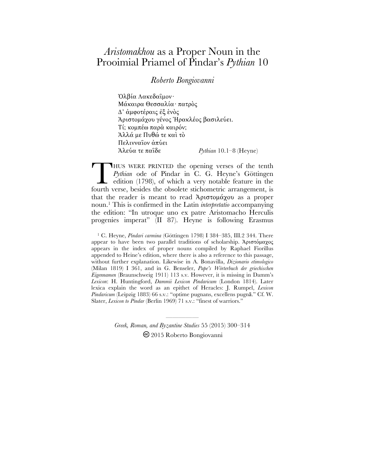## *Aristomakhou* as a Proper Noun in the Prooimial Priamel of Pindar's *Pythian* 10

## *Roberto Bongiovanni*

Ὀλβία Λακεδαῖµον· Μάκαιρα Θεσσαλία· πατρὸς Δ' άμφοτέραις ἐξ ενὸς Ἀριστοµάχου γένος Ἡρακλέος βασιλεύει. Τί; κοµπέω παρὰ καιρόν; Ἀλλά µε Πυθώ τε καὶ τὸ Πελινναῖον ἀπύει Ἀλεύα τε παῖδε *Pythian* 10.1–8 (Heyne)

HUS WERE PRINTED the opening verses of the tenth *Pythian* ode of Pindar in C. G. Heyne's Göttingen edition (1798), of which a very notable feature in the HUS WERE PRINTED the opening verses of the tenth *Pythian* ode of Pindar in C. G. Heyne's Göttingen edition (1798), of which a very notable feature in the fourth verse, besides the obsolete stichometric arrangement, is that the reader is meant to read Ἀριστοµάχου as a proper noun. 1 This is confirmed in the Latin *interpretatio* accompanying the edition: "In utroque uno ex patre Aristomacho Herculis progenies imperat" (II 87). Heyne is following Erasmus

<sup>1</sup> C. Heyne, *Pindari carmina* (Göttingen 1798) I 384-385, III.2 344. There appear to have been two parallel traditions of scholarship. Ἀριστόµαχος appears in the index of proper nouns compiled by Raphael Fiorillus appended to Heine's edition, where there is also a reference to this passage, without further explanation. Likewise in A. Bonavilla, *Dizionario etimologico* (Milan 1819) I 361, and in G. Benseler, *Pape's Wörterbuch der griechischen Eigennamen* (Braunschweig 1911) 113 s.v. However, it is missing in Damm's *Lexicon*: H. Huntingford, *Dammii Lexicon Pindaricum* (London 1814). Later lexica explain the word as an epithet of Heracles: J. Rumpel, *Lexicon Pindaricum* (Leipzig 1883) 66 s.v.: "optime pugnans, excellens pugnā." Cf. W. Slater, *Lexicon to Pindar* (Berlin 1969) 71 s.v.: "finest of warriors."

> *Greek, Roman, and Byzantine Studies* 55 (2015) 300–314 2015 Roberto Bongiovanni

—————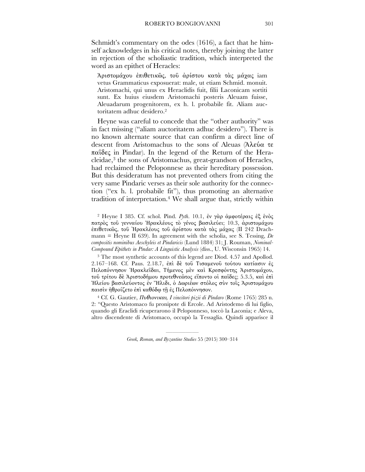Schmidt's commentary on the odes (1616), a fact that he himself acknowledges in his critical notes, thereby joining the latter in rejection of the scholiastic tradition, which interpreted the word as an epithet of Heracles:

Ἀριστοµάχου ἐπιθετικῶς, τοῦ ἀρίστου κατὰ τὰς µάχας iam vetus Grammaticus exposuerat: male, ut etiam Schmid. monuit. Aristomachi, qui unus ex Heraclidis fuit, filii Laconicam sortiti sunt. Ex huius eiusdem Aristomachi posteris Aleuam fuisse, Aleuadarum progenitorem, ex h. l. probabile fit. Aliam auctoritatem adhuc desidero.2

Heyne was careful to concede that the "other authority" was in fact missing ("aliam auctoritatem adhuc desidero"). There is no known alternate source that can confirm a direct line of descent from Aristomachus to the sons of Aleuas (Ἀλεύα τε παῖδες in Pindar). In the legend of the Return of the Heracleidae, 3 the sons of Aristomachus, great-grandson of Heracles, had reclaimed the Peloponnese as their hereditary possession. But this desideratum has not prevented others from citing the very same Pindaric verses as their sole authority for the connection ("ex h. l. probabile fit"), thus promoting an alternative tradition of interpretation.4 We shall argue that, strictly within

2 Heyne I 385. Cf. schol. Pind. *Pyth*. 10.1, ἐν γὰρ ἀµφοτέραις ἐξ ἑνὸς πατρὸς τοῦ γενναίου Ἡρακλέους τὸ γένος βασιλεύει; 10.3, ἀριστοµάχου ἐπιθετικῶς, τοῦ Ὴρακλέους τοῦ ἀρίστου κατὰ τὰς µάχας (II 242 Drachmann = Heyne II 639). In agreement with the scholia, see S. Tessing, *De compositis nominibus Aeschyleis et Pindaricis* (Lund 1884) 31; J. Rouman, *Nominal-Compound Epithets in Pindar: A Linguistic Analysis* (diss., U. Wisconsin 1965) 14.

<sup>3</sup> The most synthetic accounts of this legend are Diod. 4.57 and Apollod. 2.167–168. Cf. Paus. 2.18.7, ἐπὶ δὲ τοῦ Τισαµενοῦ τούτου κατίασιν ἐς Πελοπόννησον Ἡρακλεῖδαι, Τήµενος µὲν καὶ Κρεσφόντης Ἀριστοµάχου, τοῦ τρίτου δὲ Ἀριστοδήµου προτεθνεῶτος εἵποντο οἱ παῖδες; 5.3.5, καὶ ἐπὶ Ἠλείου βασιλεύοντος ἐν Ἤλιδι, ὁ 8ωριέων στόλος σὺν τοῖς Ἀριστοµάχου παισὶν ἠθροίζετο ἐπὶ καθόδῳ τῇ ἐς Πελοπόννησον.

4 Cf. G. Gautier, Πυθιονικαι*, I vincitori pizii di Pindaro* (Rome 1765) 285 n. 2: "Questo Aristomaco fu pronipote di Ercole. Ad Aristodemo di lui figlio, quando gli Eraclidi ricuperarono il Peloponneso, toccò la Laconia; e Aleva, altro discendente di Aristomaco, occupò la Tessaglia. Quindi apparisce il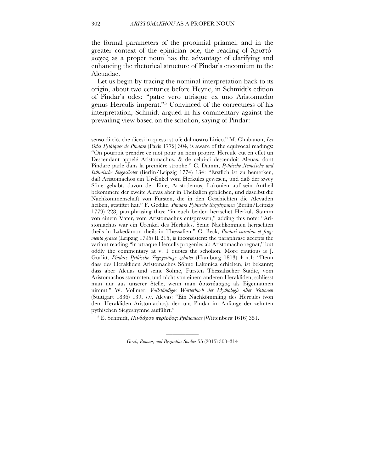the formal parameters of the prooimial priamel, and in the greater context of the epinician ode, the reading of Ἀριστόµαχος as a proper noun has the advantage of clarifying and enhancing the rhetorical structure of Pindar's encomium to the Aleuadae.

Let us begin by tracing the nominal interpretation back to its origin, about two centuries before Heyne, in Schmidt's edition of Pindar's odes: "patre vero utrisque ex uno Aristomacho genus Herculis imperat."5 Convinced of the correctness of his interpretation, Schmidt argued in his commentary against the prevailing view based on the scholion, saying of Pindar:

5 E. Schmidt, Πινδάρου περίοδος: *Pythionicae* (Wittenberg 1616) 351.

————— *Greek, Roman, and Byzantine Studies* 55 (2015) 300–314

 $\overline{\phantom{a}}$ 

senso di ciò, che dicesi in questa strofe dal nostro Lirico." M. Chabanon, *Les Odes Pythiques de Pindare* (Paris 1772) 304, is aware of the equivocal readings: "On pourroit prendre ce mot pour un nom propre. Hercule eut en effet un Descendant appelé Aristomachus, & de celui-ci descendoit Aleüas, dont Pindare parle dans la première strophe." C. Damm, *Pythische Nemeische und Isthmische Siegeslieder* (Berlin/Leipzig 1774) 134: "Erstlich ist zu bemerken, daß Aristomachos ein Ur-Enkel vom Herkules gewesen, und daß der zwey Söne gehabt, davon der Eine, Aristodemus, Lakonien auf sein Antheil bekommen: der zweite Alevas aber in Theßalien geblieben, und daselbst die Nachkommenschaft von Fürsten, die in den Geschichten die Alevaden heißen, gestiftet hat." F. Gedike, *Pindars Pythische Siegshymnen* (Berlin/Leipzig 1779) 228, paraphrasing thus: "in euch beiden herrschet Herkuls Stamm von einem Vater, vom Aristomachus entsprossen," adding this note: "Aristomachus war ein Urenkel des Herkules. Seine Nachkommen herrschten theils in Lakedämon theils in Thessalien." C. Beck, *Pindari carmina et fragmenta graece* (Leipzig 1795) II 215, is inconsistent: the paraphrase accepts the variant reading "in utraque Herculis progenies ab Aristomacho regnat," but oddly the commentary at v. 1 quotes the scholion. More cautious is J. Gurlitt, *Pindars Pythische Siegsgesänge zehnter* (Hamburg 1813) 4 n.1: "Denn dass des Herakliden Aristomachos Söhne Lakonica erhielten, ist bekannt; dass aber Aleuas und seine Söhne, Fürsten Thessalischer Städte, vom Aristomachos stammten, und nicht von einem anderen Herakliden, schliesst man nur aus unserer Stelle, wenn man ἀριστόµαχος als Eigennamen nimmt." W. Vollmer, *Vollständiges Wörterbuch der Mythologie aller Nationen* (Stuttgart 1836) 139, s.v. Alevas: "Ein Nachkömmling des Hercules (von dem Herakliden Aristomachos), den uns Pindar im Anfange der zehnten pythischen Siegeshymne aufführt."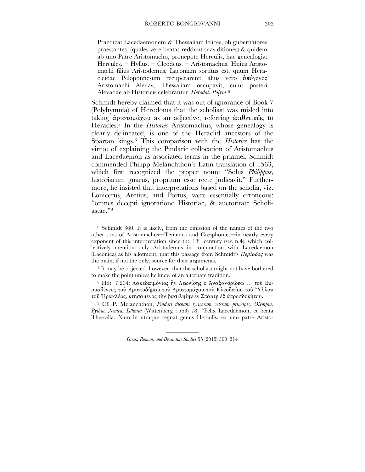Praedicat Lacedaemonem & Thessaliam felices, ob gubernatores praestantes, (quales vere beatas reddunt suas ditiones) & quidem ab uno Patre Aristomacho, pronepote Herculis, hac genealogia: Hercules. – Hyllus. – Cleodeus. – Aristomachus. Huius Aristomachi filius Aristodemus, Laconiam sortitus est, quum Heracleidae Peloponnesum recuperarent: alius vero ἀπόγονος Aristomachi Aleuas, Thessaliam occupavit, cuius posteri Alevadae ab Historicis celebrantur. *Herodot*. *Polym*.6

Schmidt hereby claimed that it was out of ignorance of Book 7 (Polyhymnia) of Herodotus that the scholiast was misled into taking ἀριστοµάχου as an adjective, referring ἐπιθετικῶς to Heracles. <sup>7</sup> In the *Histories* Aristomachus, whose genealogy is clearly delineated, is one of the Heraclid ancestors of the Spartan kings. 8 This comparison with the *Histories* has the virtue of explaining the Pindaric collocation of Aristomachus and Lacedaemon as associated terms in the priamel. Schmidt commended Philipp Melanchthon's Latin translation of 1563, which first recognized the proper noun: "Solus *Philippus*, historiarum gnarus, proprium esse recte judicavit." Furthermore, he insisted that interpretations based on the scholia, viz. Lonicerus, Aretius, and Portus, were essentially erroneous: "omnes decepti ignoratione Historiae, & auctoritate Scholiastae."9

6 Schmidt 360. It is likely, from the omission of the names of the two other sons of Aristomachus—Temenus and Cresphontes—in nearly every exponent of this interpretation since the 18<sup>th</sup> century (see n.4), which collectively mention only Aristodemus in conjunction with Lacedaemon (Laconica) as his allotment, that this passage from Schmidt's  $\Pi \epsilon \rho i \omega \delta \sigma \zeta$  was the main, if not the only, source for their arguments.

<sup>7</sup> It may be objected, however, that the scholiast might not have bothered to make the point unless he knew of an alternate tradition.

8 Hdt. 7.204: Λακεδαιµόνιος ἦν Λεωνίδης ὁ Ἀναξανδρίδεω … τοῦ Εὐρυσθένεος τοῦ Ἀριστοδήµου τοῦ Ἀριστοµάχου τοῦ Κλεοδαίου τοῦ Ὕλλου τοῦ Ἡρακλέος, κτησάµενος τὴν βασιληίην ἐν Σπάρτῃ ἐξ ἀπροσδοκήτου.

9 Cf. P. Melanchthon, *Pindari thebani lyricorum veterum principis, Olympia, Pythia, Nemea, Isthmia* (Wittenberg 1563) 78: "Felix Lacedaemon, et beata Thessalia. Nam in utraque regnat genus Herculis, ex uno patre Aristo-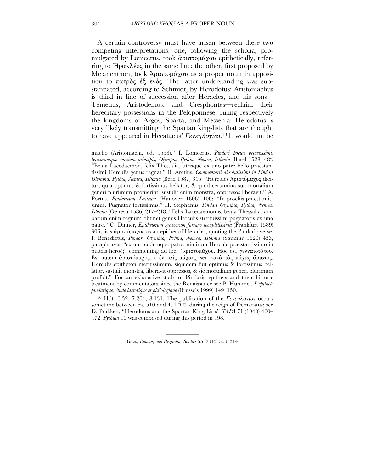A certain controversy must have arisen between these two competing interpretations: one, following the scholia, promulgated by Lonicerus, took ἀριστοµάχου epithetically, referring to Ἡρακλέος in the same line; the other, first proposed by Melanchthon, took Ἀριστομάχου as a proper noun in apposition to πατρὸς ἐξ ἑνός. The latter understanding was substantiated, according to Schmidt, by Herodotus: Aristomachus is third in line of succession after Heracles, and his sons— Temenus, Aristodemus, and Cresphontes—reclaim their hereditary possessions in the Peloponnese, ruling respectively the kingdoms of Argos, Sparta, and Messenia. Herodotus is very likely transmitting the Spartan king-lists that are thought to have appeared in Hecataeus' Γενεηλογίαι.<sup>10</sup> It would not be

macho (Aristomachi, ed. 1558)." I. Lonicerus, *Pindari poetae vetustissimi, lyricorumque omnium principis, Olympia, Pythia, Nemea, Isthmia* (Basel 1528) 48v: "Beata Lacedaemon, felix Thessalia, utrisque ex uno patre bello praestantissimi Herculis genus regnat." B. Aretius, *Commentarii absolutissimi in Pindari Olympia, Pythia, Nemea, Isthmia* (Bern 1587) 346: "Hercules Ἀριστόµαχος dicitur, quia optimus & fortissimus bellator, & quod certamina sua mortalium generi plurimum profuerint: sustulit enim monstra, oppressos liberavit." A. Portus, *Pindaricum Lexicum* (Hanover 1606) 100: "In-proeliis-praestantissimus. Pugnator fortissimus." H. Stephanus, *Pindari Olympia, Pythia, Nemea, Isthmia* (Geneva 1586) 217–218: "Felix Lacedaemon & beata Thessalia: ambarum enim regnum obtinet genus Herculis strenuissimi pugnatoris ex uno patre." C. Dinner, *Epithetorum graecorum farrago locupletissima* (Frankfurt 1589) 306, lists ἀριστόµαχος as an epithet of Heracles, quoting the Pindaric verse. I. Benedictus, *Pindari Olympia, Pythia, Nemea, Isthmia* (Saumur 1620) 453, paraphrases: "ex uno eodemque patre, nimirum Hercule praestantissimo in pugnis heroë;" commenting ad loc. "ἀριστοµάχου. Hoc est, γενναιοτάτου. Est autem άριστόμαχος, ο έν ταΐς μάχαις, seu κατά τας μάχας άριστος. Herculis epitheton meritissimum, siquidem fuit optimus & fortissimus bellator, sustulit monstra, liberavit oppressos, & sic mortalium generi plurimum profuit." For an exhaustive study of Pindaric epithets and their historic treatment by commentators since the Renaissance see P. Hummel, *L'épithète pindarique: étude historique et philologique* (Brussels 1999) 149–150.

<sup>10</sup> Hdt. 6.52, 7.204, 8.131. The publication of the Γενεηλογίαι occurs sometime between ca. 510 and 491 B.C. during the reign of Demaratus; see D. Prakken, "Herodotus and the Spartan King Lists" *TAPA* 71 (1940) 460– 472. *Pythian* 10 was composed during this period in 498.

> ————— *Greek, Roman, and Byzantine Studies* 55 (2015) 300–314

 $\overline{\phantom{a}}$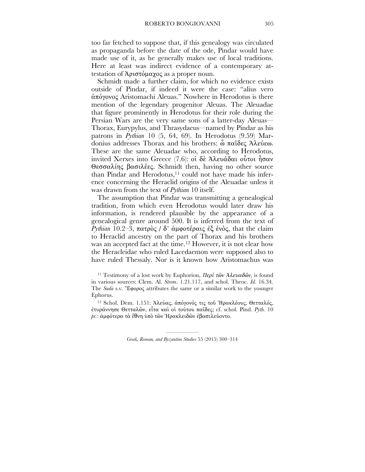too far fetched to suppose that, if this genealogy was circulated as propaganda before the date of the ode, Pindar would have made use of it, as he generally makes use of local traditions. Here at least was indirect evidence of a contemporary attestation of Ἀριστόµαχος as a proper noun.

Schmidt made a further claim, for which no evidence exists outside of Pindar, if indeed it were the case: "alius vero ἀπόγονος Aristomachi Aleuas." Nowhere in Herodotus is there mention of the legendary progenitor Aleuas. The Aleuadae that figure prominently in Herodotus for their role during the Persian Wars are the very same sons of a latter-day Aleuas— Thorax, Eurypylus, and Thrasydaeus—named by Pindar as his patrons in *Pythian* 10 (5, 64, 69). In Herodotus (9.59) Mardonius addresses Thorax and his brothers: ὦ παῖδες Ἀλεύεω. These are the same Aleuadae who, according to Herodotus, invited Xerxes into Greece (7.6): οἱ δὲ Ἀλευάδαι οὗτοι ἦσαν Θεσσαλίης βασιλέες. Schmidt then, having no other source than Pindar and Herodotus, 11 could not have made his inference concerning the Heraclid origins of the Aleuadae unless it was drawn from the text of *Pythian* 10 itself.

The assumption that Pindar was transmitting a genealogical tradition, from which even Herodotus would later draw his information, is rendered plausible by the appearance of a genealogical genre around 500. It is inferred from the text of *Pythian* 10.2–3, πατρὸς / δ' ἀµφοτέραις ἐξ ἑνὸς, that the claim to Heraclid ancestry on the part of Thorax and his brothers was an accepted fact at the time. <sup>12</sup> However, it is not clear how the Heracleidae who ruled Lacedaemon were supposed also to have ruled Thessaly. Nor is it known how Aristomachus was

12 Schol. Dem. 1.151: Ἀλεύας, ἀπόγονός τις τοῦ Ἡρακλέους, Θετταλός, ἐτυράννησε Θετταλῶν, εἶτα καὶ οἱ τούτου παῖδες; cf. schol. Pind. *Pyth.* 10 *pr.*: ἀµφότερα τὰ ἔθνη ὑπὸ τῶν Ἡρακλειδῶν ἐβασιλεύοντο.

<sup>&</sup>lt;sup>11</sup> Testimony of a lost work by Euphorion, Περί τῶν Ἀλευαδῶν, is found in various sources: Clem. Al. *Strom*. 1.21.117, and schol. Theoc*. Id.* 16.34. The *Suda* s.v. Ἔφορος attributes the same or a similar work to the younger Ephorus.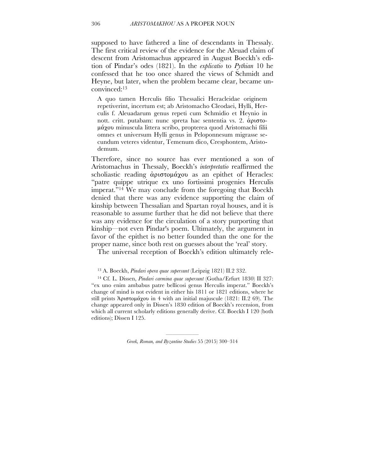supposed to have fathered a line of descendants in Thessaly. The first critical review of the evidence for the Aleuad claim of descent from Aristomachus appeared in August Boeckh's edition of Pindar's odes (1821). In the *explicatio* to *Pythian* 10 he confessed that he too once shared the views of Schmidt and Heyne, but later, when the problem became clear, became unconvinced: 13

A quo tamen Herculis filio Thessalici Heracleidae originem repetiverint, incertum est; ab Aristomacho Cleodaei, Hylli, Herculis f. Aleuadarum genus repeti cum Schmidio et Heynio in nott. critt. putabam: nunc spreta hac sententia vs. 2. ἀριστοµάχου minuscula littera scribo, propterea quod Aristomachi filii omnes et universum Hylli genus in Peloponnesum migrasse secundum veteres videntur, Temenum dico, Cresphontem, Aristodemum.

Therefore, since no source has ever mentioned a son of Aristomachus in Thessaly, Boeckh's *interpretatio* reaffirmed the scholiastic reading άριστομάχου as an epithet of Heracles: "patre quippe utrique ex uno fortissimi progenies Herculis imperat."14 We may conclude from the foregoing that Boeckh denied that there was any evidence supporting the claim of kinship between Thessalian and Spartan royal houses, and it is reasonable to assume further that he did not believe that there was any evidence for the circulation of a story purporting that kinship—not even Pindar's poem. Ultimately, the argument in favor of the epithet is no better founded than the one for the proper name, since both rest on guesses about the 'real' story.

The universal reception of Boeckh's edition ultimately rele-

14 Cf. L. Dissen, *Pindari carmina quae supersunt* (Gotha/Erfurt 1830) II 327: "ex uno enim ambabus patre bellicosi genus Herculis imperat." Boeckh's change of mind is not evident in either his 1811 or 1821 editions, where he still prints Ἀριστοµάχου in 4 with an initial majuscule (1821: II.2 69). The change appeared only in Dissen's 1830 edition of Boeckh's recension, from which all current scholarly editions generally derive. Cf. Boeckh I 120 (both editions); Dissen I 125.

<sup>13</sup> A. Boeckh, *Pindari opera quae supersunt* (Leipzig 1821) II.2 332.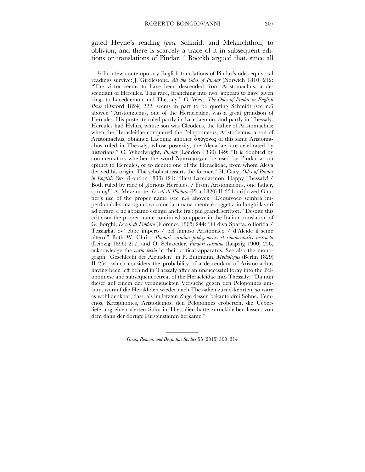gated Heyne's reading (*pace* Schmidt and Melanchthon) to oblivion, and there is scarcely a trace of it in subsequent editions or translations of Pindar. <sup>15</sup> Boeckh argued that, since all

15 In a few contemporary English translations of Pindar's odes equivocal readings survive: J. Girdlestone, *All the Odes of Pindar* (Norwich 1810) 212: "The victor seems to have been descended from Aristomachus, a descendant of Hercules. This race, branching into two, appears to have given kings to Lacedaemon and Thessaly." G. West, *The Odes of Pindar in English Prose* (Oxford 1824) 222, seems in part to be quoting Schmidt (see n.6 above): "Aristomachus, one of the Heracleidae, was a great grandson of Hercules. His posterity ruled partly in Lacedaemon, and partly in Thessaly. Hercules had Hyllus, whose son was Cleodeus, the father of Aristomachus: when the Heracleidae conquered the Peloponnesus, Aristodemus, a son of Aristomachus, obtained Laconia: another άπόγονος of this same Aristomachus ruled in Thessaly, whose posterity, the Aleuadae, are celebrated by historians." C. Wheelwright, *Pindar* (London 1830) 149: "It is doubted by commentators whether the word Ἀριστοµαχου be used by Pindar as an epithet to Hercules, or to denote one of the Heraclidae, from whom Aleva derived his origin. The scholiast asserts the former." H. Cary, *Odes of Pindar in English Verse* (London 1833) 121: "Blest Lacedaemon! Happy Thessaly! / Both ruled by race of glorious Hercules, / From Aristomachus, one father, sprung!" A. Mezzanote, *Le odi di Pindaro* (Pisa 1820) II 331, criticized Gautier's use of the proper name (see n.4 above): "L'equivoco sembra imperdonabile; ma ognun sa come la umana mente è soggetta in lunghi lavori ad errare: e ne abbiamo esempi anche fra i più grandi scrittori." Despite this criticism the proper name continued to appear in the Italian translation of G. Borghi, *Le odi di Pindaro* (Florence 1865) 244: "O diva Sparta, o florida / Tessaglia, ov' ebbe impero / pel famoso Aristomaco / d'Alcide il seme altero!" Both W. Christ, *Pindari carmina prolegomenis et commentariis instructa*  (Leipzig 1896) 217, and O. Schroeder, *Pindari carmina* (Leipzig 1900) 256, acknowledge the *varia lectio* in their critical apparatus. See also the monograph "Geschlecht der Aleuaden" in P. Buttmann, *Mythologus* (Berlin 1829) II 254, which considers the probability of a descendant of Aristomachus having been left behind in Thessaly after an unsuccessful foray into the Peloponnese and subsequent retreat of the Heracleidae into Thessaly: "Da nun dieser auf einem der verunglückten Versuche gegen den Peloponnes umkam, worauf die Herakliden wieder nach Thessalien zurückkehrten, so wäre es wohl denkbar, dass, als im letzten Zuge dessen bekante drei Söhne, Temenos, Kresphontes, Aristodemos, den Peloponnes eroberten, die Ueberlieferung einen vierten Sohn in Thessalien hätte zurückbleiben lassen, von dem dann der dortige Fürstenstamm herkäme."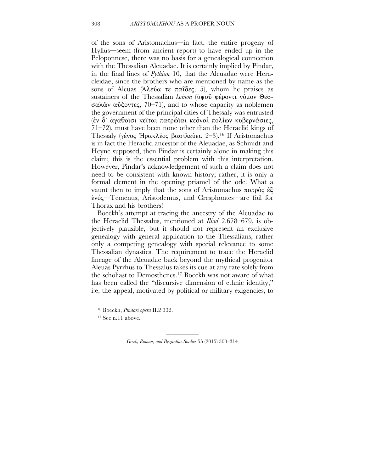of the sons of Aristomachus—in fact, the entire progeny of Hyllus—seem (from ancient report) to have ended up in the Peloponnese, there was no basis for a genealogical connection with the Thessalian Aleuadae. It is certainly implied by Pindar, in the final lines of *Pythian* 10, that the Aleuadae were Heracleidae, since the brothers who are mentioned by name as the sons of Aleuas (Ἀλεύα τε παΐδες, 5), whom he praises as sustainers of the Thessalian *koinon* (ὑψοῦ φέροντι νόµον Θεσσαλῶν αὔξοντες, 70–71), and to whose capacity as noblemen the government of the principal cities of Thessaly was entrusted (ἐν δ᾽ ἀγαθοῖσι κεῖται πατρώϊαι κεδναὶ πολίων κυβερνάσιες, 71–72), must have been none other than the Heraclid kings of Thessaly (γένος Ἡρακλἐος βασιλεύει, 2–3). <sup>16</sup> If Aristomachus is in fact the Heraclid ancestor of the Aleuadae, as Schmidt and Heyne supposed, then Pindar is certainly alone in making this claim; this is the essential problem with this interpretation. However, Pindar's acknowledgement of such a claim does not need to be consistent with known history; rather, it is only a formal element in the opening priamel of the ode. What a vaunt then to imply that the sons of Aristomachus πατρὸς ἐξ ἑνός—Temenus, Aristodemus, and Cresphontes—are foil for Thorax and his brothers!

Boeckh's attempt at tracing the ancestry of the Aleuadae to the Heraclid Thessalus, mentioned at *Iliad* 2.678–679, is objectively plausible, but it should not represent an exclusive genealogy with general application to the Thessalians, rather only a competing genealogy with special relevance to some Thessalian dynasties. The requirement to trace the Heraclid lineage of the Aleuadae back beyond the mythical progenitor Aleuas Pyrrhus to Thessalus takes its cue at any rate solely from the scholiast to Demosthenes. <sup>17</sup> Boeckh was not aware of what has been called the "discursive dimension of ethnic identity," i.e. the appeal, motivated by political or military exigencies, to

<sup>16</sup> Boeckh, *Pindari opera* II.2 332.

17 See n.11 above.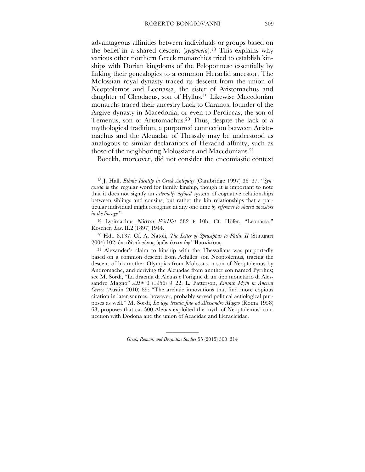advantageous affinities between individuals or groups based on the belief in a shared descent (*syngeneia*). <sup>18</sup> This explains why various other northern Greek monarchies tried to establish kinships with Dorian kingdoms of the Peloponnese essentially by linking their genealogies to a common Heraclid ancestor. The Molossian royal dynasty traced its descent from the union of Neoptolemos and Leonassa, the sister of Aristomachus and daughter of Cleodaeus, son of Hyllus. <sup>19</sup> Likewise Macedonian monarchs traced their ancestry back to Caranus, founder of the Argive dynasty in Macedonia, or even to Perdiccas, the son of Temenus, son of Aristomachus. <sup>20</sup> Thus, despite the lack of a mythological tradition, a purported connection between Aristomachus and the Aleuadae of Thessaly may be understood as analogous to similar declarations of Heraclid affinity, such as those of the neighboring Molossians and Macedonians. 21

Boeckh, moreover, did not consider the encomiastic context

18 J. Hall, *Ethnic Identity in Greek Antiquity* (Cambridge 1997) 36–37. "*Syngeneia* is the regular word for family kinship, though it is important to note that it does not signify an *externally defined* system of cognative relationships between siblings and cousins, but rather the kin relationships that a particular individual might recognise at any one time *by reference to shared ancestors in the lineage.*"

19 Lysimachus Νόστοι *FGrHist* 382 F 10b. Cf. Höfer, "Leonassa," Roscher, *Lex*. II.2 (1897) 1944.

20 Hdt. 8.137. Cf. A. Natoli, *The Letter of Speusippus to Philip II* (Stuttgart 2004) 102: ἐπειδὴ τὸ γένος ὑµῶν ἐστιν ἀφ' Ἡρακλέους.

21 Alexander's claim to kinship with the Thessalians was purportedly based on a common descent from Achilles' son Neoptolemus, tracing the descent of his mother Olympias from Molossus, a son of Neoptolemus by Andromache, and deriving the Aleuadae from another son named Pyrrhus; see M. Sordi, "La dracma di Aleuas e l'origine di un tipo monetario di Alessandro Magno" *AIIN* 3 (1956) 9–22. L. Patterson, *Kinship Myth in Ancient Greece* (Austin 2010) 89: "The archaic innovations that find more copious citation in later sources, however, probably served political aetiological purposes as well." M. Sordi, *La lega tessala fino ad Alessandro Magno* (Roma 1958) 68, proposes that ca. 500 Aleuas exploited the myth of Neoptolemus' connection with Dodona and the union of Aeacidae and Heracleidae.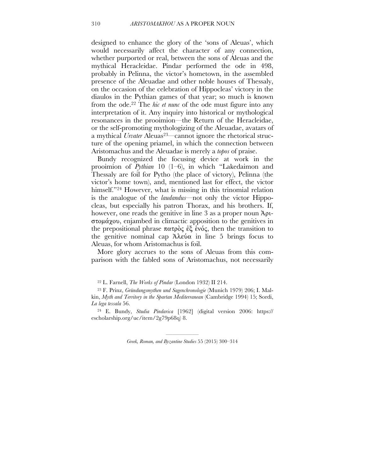designed to enhance the glory of the 'sons of Aleuas', which would necessarily affect the character of any connection, whether purported or real, between the sons of Aleuas and the mythical Heracleidae. Pindar performed the ode in 498, probably in Pelinna, the victor's hometown, in the assembled presence of the Aleuadae and other noble houses of Thessaly, on the occasion of the celebration of Hippocleas' victory in the diaulos in the Pythian games of that year; so much is known from the ode. 22 The *hic et nunc* of the ode must figure into any interpretation of it. Any inquiry into historical or mythological resonances in the prooimion—the Return of the Heracleidae, or the self-promoting mythologizing of the Aleuadae, avatars of a mythical *Urvater* Aleuas<sup>23</sup>—cannot ignore the rhetorical structure of the opening priamel, in which the connection between Aristomachus and the Aleuadae is merely a *topos* of praise.

Bundy recognized the focusing device at work in the prooimion of *Pythian* 10 (1–6), in which "Lakedaimon and Thessaly are foil for Pytho (the place of victory), Pelinna (the victor's home town), and, mentioned last for effect, the victor himself."<sup>24</sup> However, what is missing in this trinomial relation is the analogue of the *laudandus*—not only the victor Hippocleas, but especially his patron Thorax, and his brothers. If, however, one reads the genitive in line 3 as a proper noun Ἀριστοµάχου, enjambed in climactic apposition to the genitives in the prepositional phrase πατρὸς ἐξ ἑνός, then the transition to the genitive nominal cap Ἀλεύα in line 5 brings focus to Aleuas, for whom Aristomachus is foil.

More glory accrues to the sons of Aleuas from this comparison with the fabled sons of Aristomachus, not necessarily

<sup>22</sup> L. Farnell, *The Works of Pindar* (London 1932) II 214.

<sup>23</sup> F. Prinz, *Gründungsmythen und Sagenchronologie* (Munich 1979) 206; I. Malkin, *Myth and Territory in the Spartan Mediterranean* (Cambridge 1994) 15; Sordi, *La lega tessala* 56.

<sup>24</sup> E. Bundy, *Studia Pindarica* [1962] (digital version 2006: https:// escholarship.org/uc/item/2g79p68q) 8.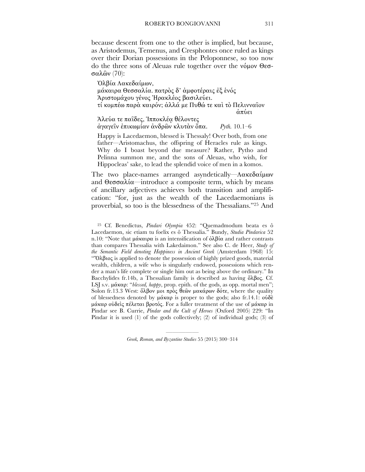because descent from one to the other is implied, but because, as Aristodemus, Temenus, and Cresphontes once ruled as kings over their Dorian possessions in the Peloponnese, so too now do the three sons of Aleuas rule together over the νόµον Θεσσαλῶν (70):

Ὀλβία Λακεδαίµων, µάκαιρα Θεσσαλία. πατρὸς δ' ἀµφοτέραις ἐξ ἑνός Ἀριστοµάχου γένος Ἡρακλέος βασιλεύει. τί κοµπέω παρὰ καιρόν; ἀλλά µε Πυθώ τε καὶ τὸ Πελινναῖον ἀπύει Ἀλεύα τε παῖδες, Ἱπποκλέᾳ θέλοντες

ἀγαγεῖν ἐπικωµίαν ἀνδρῶν κλυτὰν ὄπα. *Pyth.* 10.1–6

Happy is Lacedaemon, blessed is Thessaly! Over both, from one father—Aristomachus, the offspring of Heracles rule as kings. Why do I boast beyond due measure? Rather, Pytho and Pelinna summon me, and the sons of Aleuas, who wish, for Hippocleas' sake, to lead the splendid voice of men in a komos.

The two place-names arranged asyndetically—Λακεδαίμων and Θεσσαλία—introduce a composite term, which by means of ancillary adjectives achieves both transition and amplification: "for, just as the wealth of the Lacedaemonians is proverbial, so too is the blessedness of the Thessalians."25 And

25 Cf. Benedictus, *Pindari Olympia* 452: "Quemadmodum beata es ô Lacedaemon, sic etiam tu foelix es ô Thessalia." Bundy, *Studia Pindarica* 52 n.10: "Note that μάκαιρα is an intensification of  $\delta \lambda \beta i \alpha$  and rather contrasts than compares Thessalia with Lakedaimon." See also C. de Heer, *Study of the Semantic Field denoting Happiness in Ancient Greek* (Amsterdam 1968) 15: "Ὄλβιος is applied to denote the possession of highly prized goods, material wealth, children, a wife who is singularly endowed, possessions which render a man's life complete or single him out as being above the ordinary." In Bacchylides fr.14b, a Thessalian family is described as having ὄλβος. Cf. LSJ s.v. µάκαρ: "*blessed, happy*, prop. epith. of the gods, as opp. mortal men"; Solon fr.13.3 West: ὄλβον μοι πρὸς θεῶν μακάρων δότε, where the quality of blessedness denoted by µάκαρ is proper to the gods; also fr.14.1: οὐδὲ µάκαρ οὐδεὶς πέλεται βροτός. For a fuller treatment of the use of µάκαρ in Pindar see B. Currie, *Pindar and the Cult of Heroes* (Oxford 2005) 229: "In Pindar it is used (1) of the gods collectively; (2) of individual gods; (3) of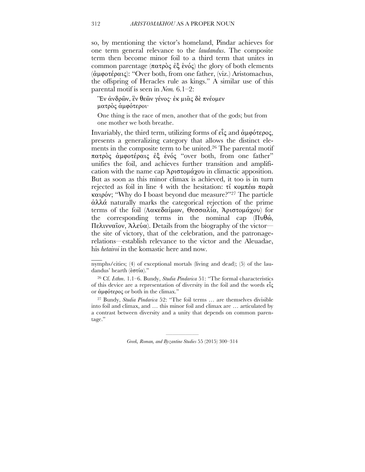so, by mentioning the victor's homeland, Pindar achieves for one term general relevance to the *laudandus*. The composite term then become minor foil to a third term that unites in common parentage (πατρὸς ἐξ ἑνός) the glory of both elements (ἀµφοτέραις): "Over both, from one father, (viz.) Aristomachus, the offspring of Heracles rule as kings." A similar use of this parental motif is seen in *Nem.* 6.1–2:

Ἓν ἀνδρῶν, ἓν θεῶν γένος· ἐκ µιᾶς δὲ πνέοµεν µατρὸς ἀµφότεροι·

One thing is the race of men, another that of the gods; but from one mother we both breathe.

Invariably, the third term, utilizing forms of εἷς and ἀµφότερος, presents a generalizing category that allows the distinct elements in the composite term to be united. 26 The parental motif πατρὸς ἀµφοτέραις ἐξ ἑνός "over both, from one father" unifies the foil, and achieves further transition and amplification with the name cap Ἀριστοµάχου in climactic apposition. But as soon as this minor climax is achieved, it too is in turn rejected as foil in line 4 with the hesitation: τί κοµπέω παρὰ καιρόν; "Why do I boast beyond due measure?"27 The particle ἀλλά naturally marks the categorical rejection of the prime terms of the foil (Λακεδαίµων, Θεσσαλία, Ἀριστοµάχου) for the corresponding terms in the nominal cap (Πυθώ, Πελινναῖον, Ἀλεύα). Details from the biography of the victor the site of victory, that of the celebration, and the patronagerelations—establish relevance to the victor and the Aleuadae, his *hetairoi* in the komastic here and now.

27 Bundy, *Studia Pindarica* 52: "The foil terms … are themselves divisible into foil and climax, and … this minor foil and climax are … articulated by a contrast between diversity and a unity that depends on common parentage."

> ————— *Greek, Roman, and Byzantine Studies* 55 (2015) 300–314

 $\mathcal{L}_{\mathcal{L}}$ 

nymphs/cities; (4) of exceptional mortals (living and dead); (5) of the laudandus' hearth (ἑστία)."

<sup>26</sup> Cf. *Isthm*. 1.1–6. Bundy, *Studia Pindarica* 51: "The formal characteristics of this device are a representation of diversity in the foil and the words εἶς or ἀµφότερος or both in the climax."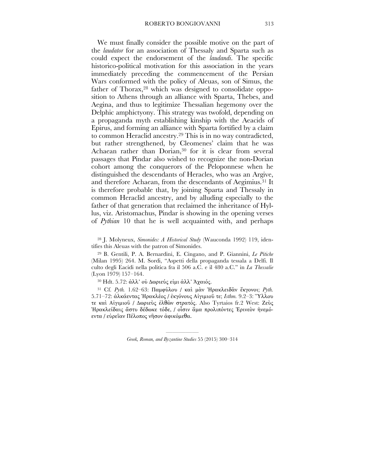We must finally consider the possible motive on the part of the *laudator* for an association of Thessaly and Sparta such as could expect the endorsement of the *laudandi*. The specific historico-political motivation for this association in the years immediately preceding the commencement of the Persian Wars conformed with the policy of Aleuas, son of Simus, the father of Thorax, 28 which was designed to consolidate opposition to Athens through an alliance with Sparta, Thebes, and Aegina, and thus to legitimize Thessalian hegemony over the Delphic amphictyony. This strategy was twofold, depending on a propaganda myth establishing kinship with the Aeacids of Epirus, and forming an alliance with Sparta fortified by a claim to common Heraclid ancestry. 29 This is in no way contradicted, but rather strengthened, by Cleomenes' claim that he was Achaean rather than Dorian, 30 for it is clear from several passages that Pindar also wished to recognize the non-Dorian cohort among the conquerors of the Peloponnese when he distinguished the descendants of Heracles, who was an Argive, and therefore Achaean, from the descendants of Aegimius. 31 It is therefore probable that, by joining Sparta and Thessaly in common Heraclid ancestry, and by alluding especially to the father of that generation that reclaimed the inheritance of Hyllus, viz. Aristomachus, Pindar is showing in the opening verses of *Pythian* 10 that he is well acquainted with, and perhaps

28 J. Molyneux, *Simonides: A Historical Study* (Wauconda 1992) 119, identifies this Aleuas with the patron of Simonides.

29 B. Gentili, P. A. Bernardini, E. Cingano, and P. Giannini, *Le Pitiche* (Milan 1995) 264. M. Sordi, "Aspetti della propaganda tessala a Delfi. Il culto degli Eacidi nella politica fra il 506 a.C. e il 480 a.C." in *La Thessalie* (Lyon 1979) 157–164.

<sup>30</sup> Hdt. 5.72: άλλ' ού Δωριεύς είμι άλλ' Άχαιός.

31 Cf. *Pyth.* 1.62–63: Παµφύλου / καὶ µὰν Ἡρακλειδᾶν ἔκγονοι; *Pyth.* 5.71–72: ἀλκάεντας Ἡρακλέος / ἐκγόνους Αἰγιµιοῦ τε; *Isthm.* 9.2–3: Ὕλλου τε καὶ Αἰγιµιοῦ / 8ωριεὺς ἐλθὼν στρατός. Also Tyrtaios fr.2 West: Ζεὺς Ἡρακλείδαις ἄστυ δέδωκε τόδε, / οἷσιν ἅµα προλιπόντες Ἐρινεὸν ἠνεµόεντα / εὐρεῖαν Πέλοπος νῆσον ἀφικόµεθα.